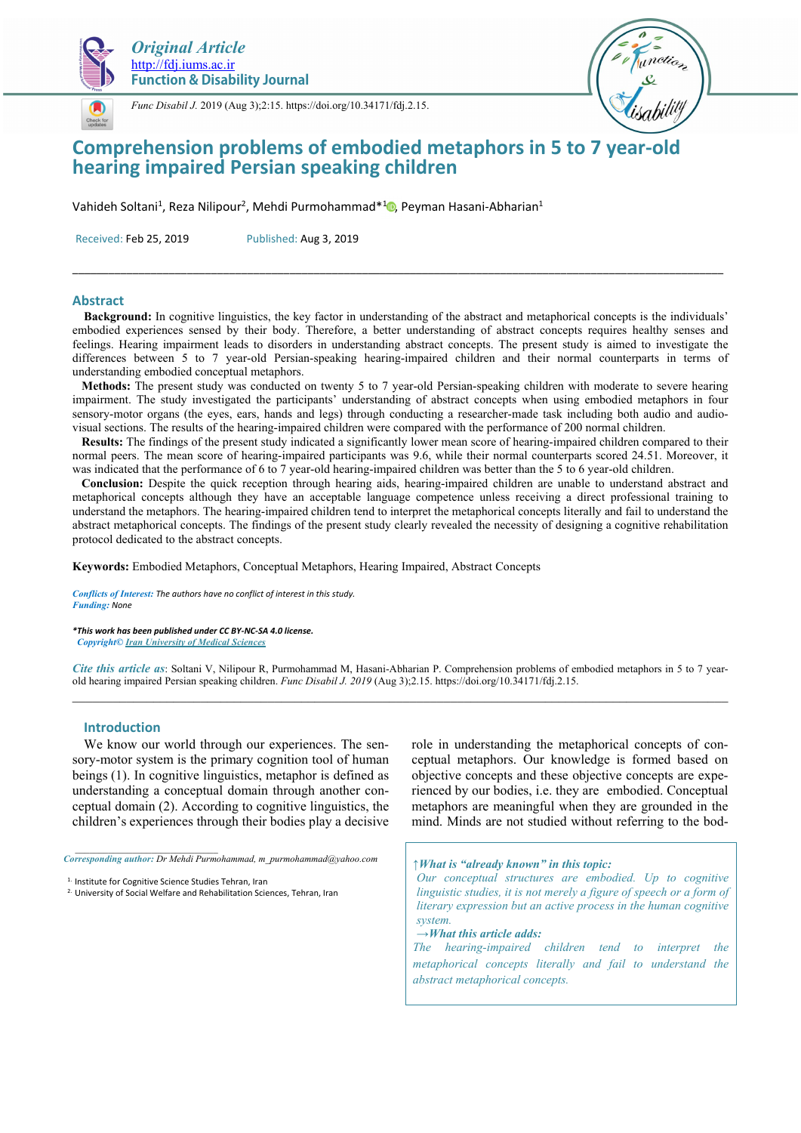

*Original Article*  http://fdj.iums.ac.ir **Function & Disability Journal** 



*Func Disabil J.* 2019 (Aug 3);2:15. https://doi.org/10.34171/fdj.2.15.



# **Comprehension problems of embodied metaphors in 5 to 7 year-old hearing impaired Persian speaking children**

Vahideh Soltani<sup>1</sup>, Reza Nilipour<sup>2</sup>, Mehdi Purmohammad\*<sup>1</sup> D, Peyman Hasani-Abharian<sup>1</sup>

Received: Feb 25, 2019 Published: Aug 3, 2019

### **Abstract**

 **Background:** In cognitive linguistics, the key factor in understanding of the abstract and metaphorical concepts is the individuals' embodied experiences sensed by their body. Therefore, a better understanding of abstract concepts requires healthy senses and feelings. Hearing impairment leads to disorders in understanding abstract concepts. The present study is aimed to investigate the differences between 5 to 7 year-old Persian-speaking hearing-impaired children and their normal counterparts in terms of understanding embodied conceptual metaphors.

\_\_\_\_\_\_\_\_\_\_\_\_\_\_\_\_\_\_\_\_\_\_\_\_\_\_\_\_\_\_\_\_\_\_\_\_\_\_\_\_\_\_\_\_\_\_\_\_\_\_\_\_\_\_\_\_\_\_\_\_\_\_\_\_\_\_\_\_\_\_\_\_\_\_\_\_\_\_\_\_\_\_\_\_\_\_\_\_\_\_\_\_\_\_\_\_\_\_\_\_\_\_\_\_\_\_\_\_

 **Methods:** The present study was conducted on twenty 5 to 7 year-old Persian-speaking children with moderate to severe hearing impairment. The study investigated the participants' understanding of abstract concepts when using embodied metaphors in four sensory-motor organs (the eyes, ears, hands and legs) through conducting a researcher-made task including both audio and audiovisual sections. The results of the hearing-impaired children were compared with the performance of 200 normal children.

 **Results:** The findings of the present study indicated a significantly lower mean score of hearing-impaired children compared to their normal peers. The mean score of hearing-impaired participants was 9.6, while their normal counterparts scored 24.51. Moreover, it was indicated that the performance of 6 to 7 year-old hearing-impaired children was better than the 5 to 6 year-old children.

 **Conclusion:** Despite the quick reception through hearing aids, hearing-impaired children are unable to understand abstract and metaphorical concepts although they have an acceptable language competence unless receiving a direct professional training to understand the metaphors. The hearing-impaired children tend to interpret the metaphorical concepts literally and fail to understand the abstract metaphorical concepts. The findings of the present study clearly revealed the necessity of designing a cognitive rehabilitation protocol dedicated to the abstract concepts.

**Keywords:** Embodied Metaphors, Conceptual Metaphors, Hearing Impaired, Abstract Concepts

*Conflicts of Interest: The authors have no conflict of interest in this study. Funding: None* 

*\*This work has been published under CC BY-NC-SA 4.0 license. Copyright© Iran University of Medical Sciences* 

*Cite this article as*: Soltani V, Nilipour R, Purmohammad M, Hasani-Abharian P. Comprehension problems of embodied metaphors in 5 to 7 yearold hearing impaired Persian speaking children. *Func Disabil J. 2019* (Aug 3);2.15. https://doi.org/10.34171/fdj.2.15.

### **Introduction**

We know our world through our experiences. The sensory-motor system is the primary cognition tool of human beings (1). In cognitive linguistics, metaphor is defined as understanding a conceptual domain through another conceptual domain (2). According to cognitive linguistics, the children's experiences through their bodies play a decisive

*Corresponding author: Dr Mehdi Purmohammad, m\_purmohammad@yahoo.com* 

<sup>1.</sup> Institute for Cognitive Science Studies Tehran, Iran

*\_\_\_\_\_\_\_\_\_\_\_\_\_\_\_\_\_\_\_\_\_\_\_\_\_\_\_\_\_\_* 

role in understanding the metaphorical concepts of conceptual metaphors. Our knowledge is formed based on objective concepts and these objective concepts are experienced by our bodies, i.e. they are embodied. Conceptual metaphors are meaningful when they are grounded in the mind. Minds are not studied without referring to the bod-

*↑What is "already known" in this topic: Our conceptual structures are embodied. Up to cognitive linguistic studies, it is not merely a figure of speech or a form of literary expression but an active process in the human cognitive system. →What this article adds:* 

*The hearing-impaired children tend to interpret the metaphorical concepts literally and fail to understand the abstract metaphorical concepts.*

<sup>2.</sup> University of Social Welfare and Rehabilitation Sciences, Tehran, Iran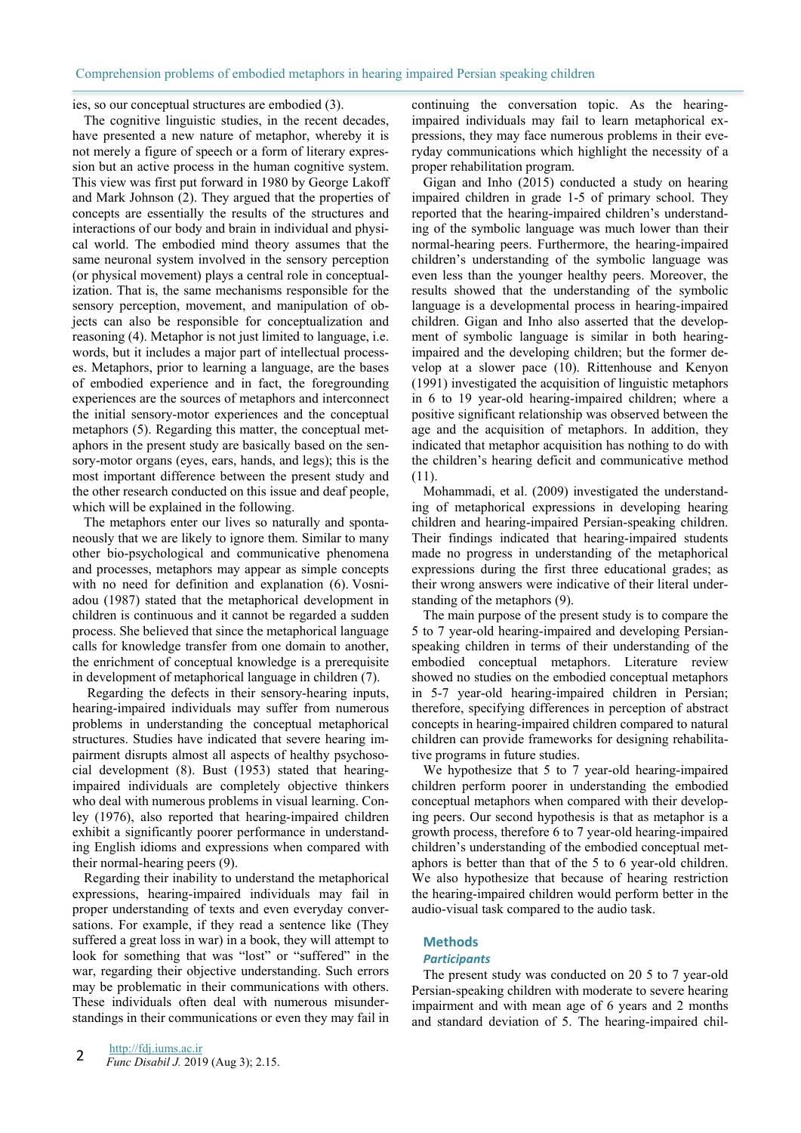ies, so our conceptual structures are embodied (3).

The cognitive linguistic studies, in the recent decades, have presented a new nature of metaphor, whereby it is not merely a figure of speech or a form of literary expression but an active process in the human cognitive system. This view was first put forward in 1980 by George Lakoff and Mark Johnson (2). They argued that the properties of concepts are essentially the results of the structures and interactions of our body and brain in individual and physical world. The embodied mind theory assumes that the same neuronal system involved in the sensory perception (or physical movement) plays a central role in conceptualization. That is, the same mechanisms responsible for the sensory perception, movement, and manipulation of objects can also be responsible for conceptualization and reasoning (4). Metaphor is not just limited to language, i.e. words, but it includes a major part of intellectual processes. Metaphors, prior to learning a language, are the bases of embodied experience and in fact, the foregrounding experiences are the sources of metaphors and interconnect the initial sensory-motor experiences and the conceptual metaphors (5). Regarding this matter, the conceptual metaphors in the present study are basically based on the sensory-motor organs (eyes, ears, hands, and legs); this is the most important difference between the present study and the other research conducted on this issue and deaf people, which will be explained in the following.

The metaphors enter our lives so naturally and spontaneously that we are likely to ignore them. Similar to many other bio-psychological and communicative phenomena and processes, metaphors may appear as simple concepts with no need for definition and explanation (6). Vosniadou (1987) stated that the metaphorical development in children is continuous and it cannot be regarded a sudden process. She believed that since the metaphorical language calls for knowledge transfer from one domain to another, the enrichment of conceptual knowledge is a prerequisite in development of metaphorical language in children (7).

 Regarding the defects in their sensory-hearing inputs, hearing-impaired individuals may suffer from numerous problems in understanding the conceptual metaphorical structures. Studies have indicated that severe hearing impairment disrupts almost all aspects of healthy psychosocial development (8). Bust (1953) stated that hearingimpaired individuals are completely objective thinkers who deal with numerous problems in visual learning. Conley (1976), also reported that hearing-impaired children exhibit a significantly poorer performance in understanding English idioms and expressions when compared with their normal-hearing peers (9).

Regarding their inability to understand the metaphorical expressions, hearing-impaired individuals may fail in proper understanding of texts and even everyday conversations. For example, if they read a sentence like (They suffered a great loss in war) in a book, they will attempt to look for something that was "lost" or "suffered" in the war, regarding their objective understanding. Such errors may be problematic in their communications with others. These individuals often deal with numerous misunderstandings in their communications or even they may fail in

continuing the conversation topic. As the hearingimpaired individuals may fail to learn metaphorical expressions, they may face numerous problems in their everyday communications which highlight the necessity of a proper rehabilitation program.

Gigan and Inho (2015) conducted a study on hearing impaired children in grade 1-5 of primary school. They reported that the hearing-impaired children's understanding of the symbolic language was much lower than their normal-hearing peers. Furthermore, the hearing-impaired children's understanding of the symbolic language was even less than the younger healthy peers. Moreover, the results showed that the understanding of the symbolic language is a developmental process in hearing-impaired children. Gigan and Inho also asserted that the development of symbolic language is similar in both hearingimpaired and the developing children; but the former develop at a slower pace (10). Rittenhouse and Kenyon (1991) investigated the acquisition of linguistic metaphors in 6 to 19 year-old hearing-impaired children; where a positive significant relationship was observed between the age and the acquisition of metaphors. In addition, they indicated that metaphor acquisition has nothing to do with the children's hearing deficit and communicative method (11).

Mohammadi, et al. (2009) investigated the understanding of metaphorical expressions in developing hearing children and hearing-impaired Persian-speaking children. Their findings indicated that hearing-impaired students made no progress in understanding of the metaphorical expressions during the first three educational grades; as their wrong answers were indicative of their literal understanding of the metaphors (9).

The main purpose of the present study is to compare the 5 to 7 year-old hearing-impaired and developing Persianspeaking children in terms of their understanding of the embodied conceptual metaphors. Literature review showed no studies on the embodied conceptual metaphors in 5-7 year-old hearing-impaired children in Persian; therefore, specifying differences in perception of abstract concepts in hearing-impaired children compared to natural children can provide frameworks for designing rehabilitative programs in future studies.

We hypothesize that 5 to 7 year-old hearing-impaired children perform poorer in understanding the embodied conceptual metaphors when compared with their developing peers. Our second hypothesis is that as metaphor is a growth process, therefore 6 to 7 year-old hearing-impaired children's understanding of the embodied conceptual metaphors is better than that of the 5 to 6 year-old children. We also hypothesize that because of hearing restriction the hearing-impaired children would perform better in the audio-visual task compared to the audio task.

## **Methods**

#### *Participants*

The present study was conducted on 20 5 to 7 year-old Persian-speaking children with moderate to severe hearing impairment and with mean age of 6 years and 2 months and standard deviation of 5. The hearing-impaired chil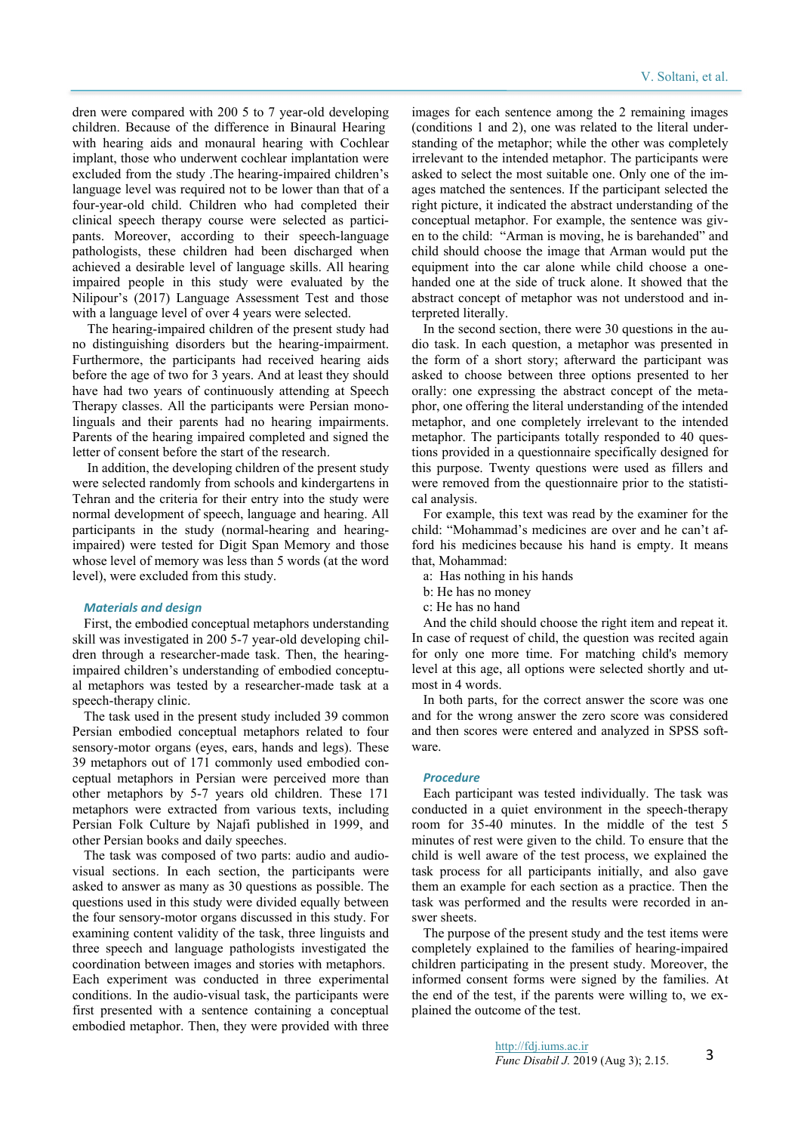dren were compared with 200 5 to 7 year-old developing children. Because of the difference in Binaural Hearing with hearing aids and monaural hearing with Cochlear implant, those who underwent cochlear implantation were excluded from the study .The hearing-impaired children's language level was required not to be lower than that of a four-year-old child. Children who had completed their clinical speech therapy course were selected as participants. Moreover, according to their speech-language pathologists, these children had been discharged when achieved a desirable level of language skills. All hearing impaired people in this study were evaluated by the Nilipour's (2017) Language Assessment Test and those with a language level of over 4 years were selected.

 The hearing-impaired children of the present study had no distinguishing disorders but the hearing-impairment. Furthermore, the participants had received hearing aids before the age of two for 3 years. And at least they should have had two years of continuously attending at Speech Therapy classes. All the participants were Persian monolinguals and their parents had no hearing impairments. Parents of the hearing impaired completed and signed the letter of consent before the start of the research.

 In addition, the developing children of the present study were selected randomly from schools and kindergartens in Tehran and the criteria for their entry into the study were normal development of speech, language and hearing. All participants in the study (normal-hearing and hearingimpaired) were tested for Digit Span Memory and those whose level of memory was less than 5 words (at the word level), were excluded from this study.

#### *Materials and design*

First, the embodied conceptual metaphors understanding skill was investigated in 200 5-7 year-old developing children through a researcher-made task. Then, the hearingimpaired children's understanding of embodied conceptual metaphors was tested by a researcher-made task at a speech-therapy clinic.

The task used in the present study included 39 common Persian embodied conceptual metaphors related to four sensory-motor organs (eyes, ears, hands and legs). These 39 metaphors out of 171 commonly used embodied conceptual metaphors in Persian were perceived more than other metaphors by 5-7 years old children. These 171 metaphors were extracted from various texts, including Persian Folk Culture by Najafi published in 1999, and other Persian books and daily speeches.

The task was composed of two parts: audio and audiovisual sections. In each section, the participants were asked to answer as many as 30 questions as possible. The questions used in this study were divided equally between the four sensory-motor organs discussed in this study. For examining content validity of the task, three linguists and three speech and language pathologists investigated the coordination between images and stories with metaphors. Each experiment was conducted in three experimental conditions. In the audio-visual task, the participants were first presented with a sentence containing a conceptual embodied metaphor. Then, they were provided with three

images for each sentence among the 2 remaining images (conditions 1 and 2), one was related to the literal understanding of the metaphor; while the other was completely irrelevant to the intended metaphor. The participants were asked to select the most suitable one. Only one of the images matched the sentences. If the participant selected the right picture, it indicated the abstract understanding of the conceptual metaphor. For example, the sentence was given to the child: "Arman is moving, he is barehanded" and child should choose the image that Arman would put the equipment into the car alone while child choose a onehanded one at the side of truck alone. It showed that the abstract concept of metaphor was not understood and interpreted literally.

In the second section, there were 30 questions in the audio task. In each question, a metaphor was presented in the form of a short story; afterward the participant was asked to choose between three options presented to her orally: one expressing the abstract concept of the metaphor, one offering the literal understanding of the intended metaphor, and one completely irrelevant to the intended metaphor. The participants totally responded to 40 questions provided in a questionnaire specifically designed for this purpose. Twenty questions were used as fillers and were removed from the questionnaire prior to the statistical analysis.

For example, this text was read by the examiner for the child: "Mohammad's medicines are over and he can't afford his medicines because his hand is empty. It means that, Mohammad:

- a: Has nothing in his hands
- b: He has no money
- c: He has no hand

And the child should choose the right item and repeat it. In case of request of child, the question was recited again for only one more time. For matching child's memory level at this age, all options were selected shortly and utmost in 4 words.

In both parts, for the correct answer the score was one and for the wrong answer the zero score was considered and then scores were entered and analyzed in SPSS software.

#### *Procedure*

Each participant was tested individually. The task was conducted in a quiet environment in the speech-therapy room for 35-40 minutes. In the middle of the test 5 minutes of rest were given to the child. To ensure that the child is well aware of the test process, we explained the task process for all participants initially, and also gave them an example for each section as a practice. Then the task was performed and the results were recorded in answer sheets.

The purpose of the present study and the test items were completely explained to the families of hearing-impaired children participating in the present study. Moreover, the informed consent forms were signed by the families. At the end of the test, if the parents were willing to, we explained the outcome of the test.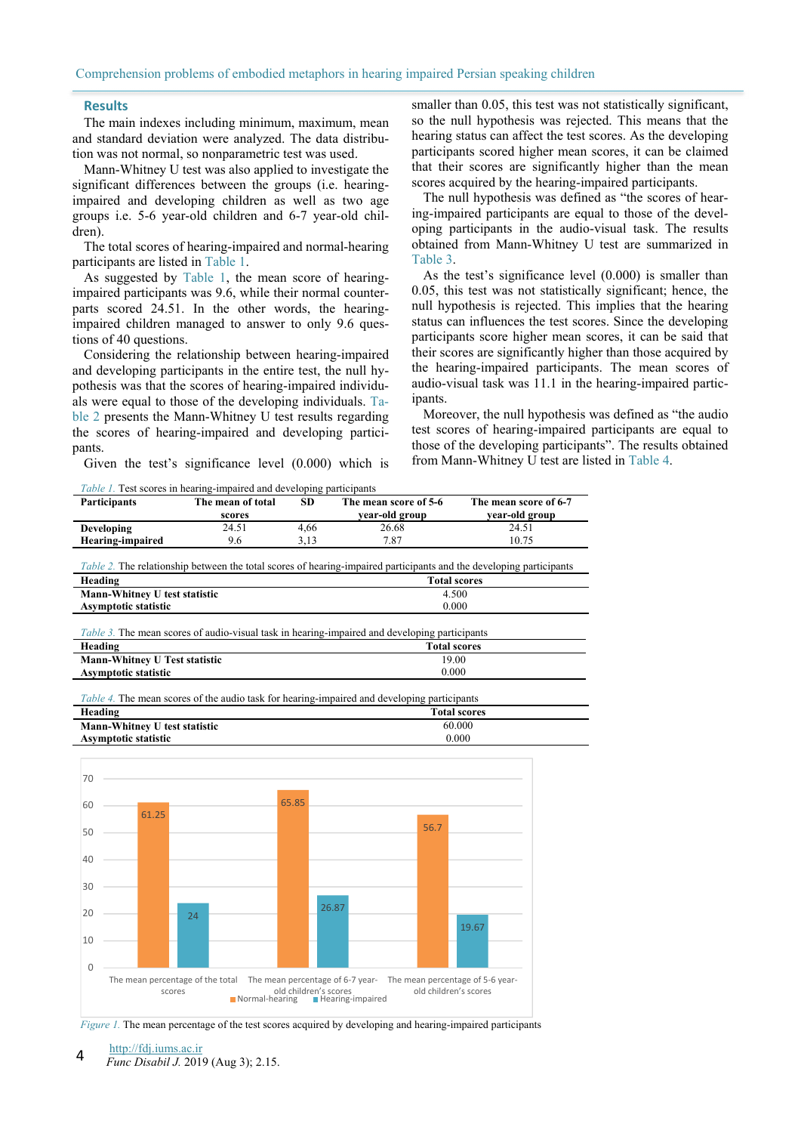### **Results**

The main indexes including minimum, maximum, mean and standard deviation were analyzed. The data distribution was not normal, so nonparametric test was used.

Mann-Whitney U test was also applied to investigate the significant differences between the groups (i.e. hearingimpaired and developing children as well as two age groups i.e. 5-6 year-old children and 6-7 year-old children).

The total scores of hearing-impaired and normal-hearing participants are listed in Table 1.

As suggested by Table 1, the mean score of hearingimpaired participants was 9.6, while their normal counterparts scored 24.51. In the other words, the hearingimpaired children managed to answer to only 9.6 questions of 40 questions.

Considering the relationship between hearing-impaired and developing participants in the entire test, the null hypothesis was that the scores of hearing-impaired individuals were equal to those of the developing individuals. Table 2 presents the Mann-Whitney U test results regarding the scores of hearing-impaired and developing participants.

Given the test's significance level (0.000) which is

smaller than 0.05, this test was not statistically significant, so the null hypothesis was rejected. This means that the hearing status can affect the test scores. As the developing participants scored higher mean scores, it can be claimed that their scores are significantly higher than the mean scores acquired by the hearing-impaired participants.

The null hypothesis was defined as "the scores of hearing-impaired participants are equal to those of the developing participants in the audio-visual task. The results obtained from Mann-Whitney U test are summarized in Table 3.

As the test's significance level (0.000) is smaller than 0.05, this test was not statistically significant; hence, the null hypothesis is rejected. This implies that the hearing status can influences the test scores. Since the developing participants score higher mean scores, it can be said that their scores are significantly higher than those acquired by the hearing-impaired participants. The mean scores of audio-visual task was 11.1 in the hearing-impaired participants.

Moreover, the null hypothesis was defined as "the audio test scores of hearing-impaired participants are equal to those of the developing participants". The results obtained from Mann-Whitney U test are listed in Table 4.

*Table 1.* Test scores in hearing-impaired and developing participants

| <b>Participants</b>                                                                         | <i>rable 1</i> . Fest scores in nearing-impaired and developing participants<br>The mean of total | <b>SD</b> | The mean score of 5-6                                                                                               | The mean score of 6-7 |  |
|---------------------------------------------------------------------------------------------|---------------------------------------------------------------------------------------------------|-----------|---------------------------------------------------------------------------------------------------------------------|-----------------------|--|
|                                                                                             | scores                                                                                            |           | year-old group                                                                                                      | year-old group        |  |
| Developing                                                                                  | 24.51                                                                                             | 4,66      | 26.68                                                                                                               | 24.51                 |  |
| <b>Hearing-impaired</b>                                                                     | 9.6                                                                                               | 3,13      | 7.87                                                                                                                | 10.75                 |  |
|                                                                                             |                                                                                                   |           | Table 2. The relationship between the total scores of hearing-impaired participants and the developing participants |                       |  |
| Heading                                                                                     |                                                                                                   |           | <b>Total scores</b>                                                                                                 |                       |  |
| Mann-Whitney U test statistic                                                               |                                                                                                   |           | 4.500                                                                                                               |                       |  |
| Asymptotic statistic                                                                        |                                                                                                   |           | 0.000                                                                                                               |                       |  |
|                                                                                             |                                                                                                   |           | <i>Table 3.</i> The mean scores of audio-visual task in hearing-impaired and developing participants                |                       |  |
| Heading                                                                                     |                                                                                                   |           | <b>Total scores</b>                                                                                                 |                       |  |
| <b>Mann-Whitney U Test statistic</b>                                                        |                                                                                                   |           | 19.00                                                                                                               |                       |  |
|                                                                                             | 0.000<br><b>Asymptotic statistic</b>                                                              |           |                                                                                                                     |                       |  |
| Table 4. The mean scores of the audio task for hearing-impaired and developing participants |                                                                                                   |           |                                                                                                                     |                       |  |
| <b>Total scores</b><br>Heading                                                              |                                                                                                   |           |                                                                                                                     |                       |  |
| Mann-Whitney U test statistic                                                               |                                                                                                   |           | 60.000<br>0.000                                                                                                     |                       |  |
| <b>Asymptotic statistic</b>                                                                 |                                                                                                   |           |                                                                                                                     |                       |  |
|                                                                                             |                                                                                                   |           |                                                                                                                     |                       |  |
| 70                                                                                          |                                                                                                   |           |                                                                                                                     |                       |  |
|                                                                                             |                                                                                                   |           |                                                                                                                     |                       |  |
| 60                                                                                          |                                                                                                   | 65.85     |                                                                                                                     |                       |  |
| 61.25                                                                                       |                                                                                                   |           |                                                                                                                     |                       |  |
| 50                                                                                          |                                                                                                   |           | 56.7                                                                                                                |                       |  |
|                                                                                             |                                                                                                   |           |                                                                                                                     |                       |  |
| 40                                                                                          |                                                                                                   |           |                                                                                                                     |                       |  |
|                                                                                             |                                                                                                   |           |                                                                                                                     |                       |  |
| 30                                                                                          |                                                                                                   |           |                                                                                                                     |                       |  |
|                                                                                             |                                                                                                   |           |                                                                                                                     |                       |  |
| 20                                                                                          |                                                                                                   |           | 26.87                                                                                                               |                       |  |
|                                                                                             | 24                                                                                                |           |                                                                                                                     | 19.67                 |  |
| 10                                                                                          |                                                                                                   |           |                                                                                                                     |                       |  |

*Figure 1.* The mean percentage of the test scores acquired by developing and hearing-impaired participants

old children's scores<br>Normal-hearing ■ Hearing-impaired

The mean percentage of 6-7 year-The mean percentage of 5-6 year-

old children's scores

http://fdj.iums.ac.ir *Func Disabil J.* 2019 (Aug 3); 2.15. 4

The mean percentage of the total scores

 $\Omega$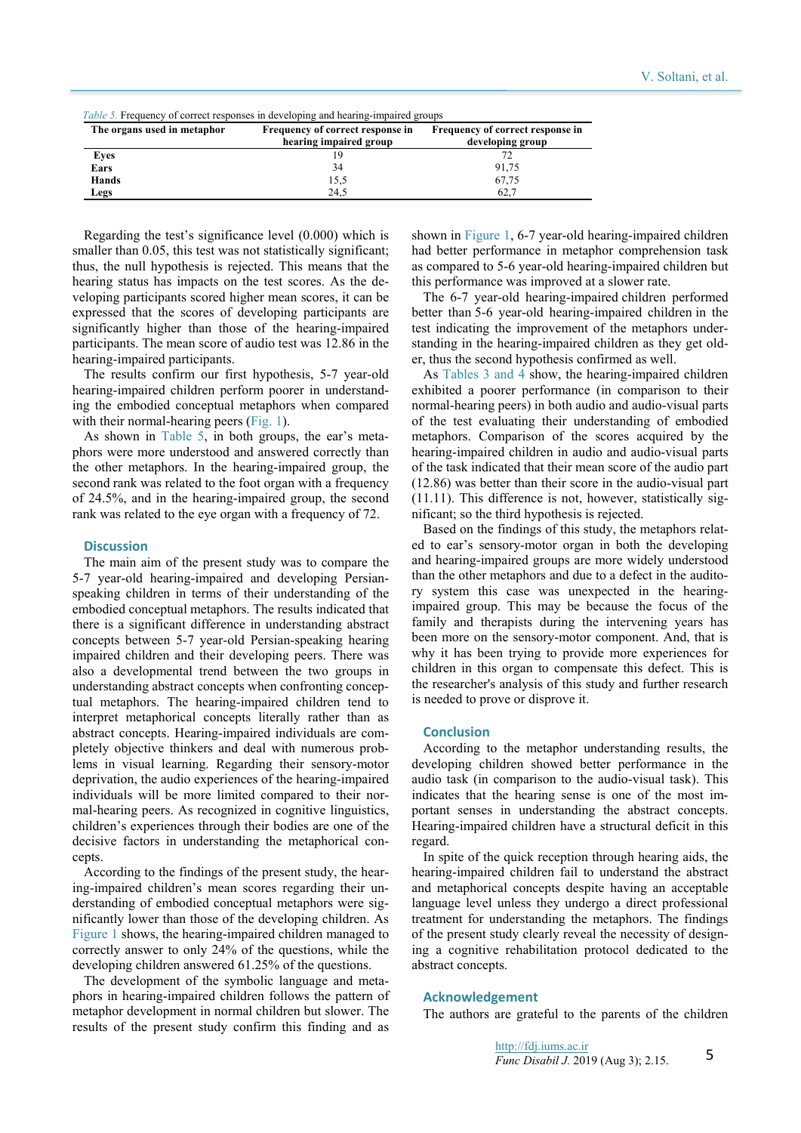| <i>Table 5.</i> Frequency of correct responses in developing and hearing-impaired groups |                                                            |                                                      |  |  |  |
|------------------------------------------------------------------------------------------|------------------------------------------------------------|------------------------------------------------------|--|--|--|
| The organs used in metaphor                                                              | Frequency of correct response in<br>hearing impaired group | Frequency of correct response in<br>developing group |  |  |  |
| Eves                                                                                     |                                                            |                                                      |  |  |  |
| Ears                                                                                     | 34                                                         | 91,75                                                |  |  |  |
| Hands                                                                                    | 15,5                                                       | 67,75                                                |  |  |  |
| Legs                                                                                     | 24.5                                                       | 62.7                                                 |  |  |  |

Regarding the test's significance level (0.000) which is smaller than 0.05, this test was not statistically significant; thus, the null hypothesis is rejected. This means that the hearing status has impacts on the test scores. As the developing participants scored higher mean scores, it can be expressed that the scores of developing participants are significantly higher than those of the hearing-impaired participants. The mean score of audio test was 12.86 in the hearing-impaired participants.

The results confirm our first hypothesis, 5-7 year-old hearing-impaired children perform poorer in understanding the embodied conceptual metaphors when compared with their normal-hearing peers (Fig. 1).

As shown in Table 5, in both groups, the ear's metaphors were more understood and answered correctly than the other metaphors. In the hearing-impaired group, the second rank was related to the foot organ with a frequency of 24.5%, and in the hearing-impaired group, the second rank was related to the eye organ with a frequency of 72.

### **Discussion**

The main aim of the present study was to compare the 5-7 year-old hearing-impaired and developing Persianspeaking children in terms of their understanding of the embodied conceptual metaphors. The results indicated that there is a significant difference in understanding abstract concepts between 5-7 year-old Persian-speaking hearing impaired children and their developing peers. There was also a developmental trend between the two groups in understanding abstract concepts when confronting conceptual metaphors. The hearing-impaired children tend to interpret metaphorical concepts literally rather than as abstract concepts. Hearing-impaired individuals are completely objective thinkers and deal with numerous problems in visual learning. Regarding their sensory-motor deprivation, the audio experiences of the hearing-impaired individuals will be more limited compared to their normal-hearing peers. As recognized in cognitive linguistics, children's experiences through their bodies are one of the decisive factors in understanding the metaphorical concepts.

According to the findings of the present study, the hearing-impaired children's mean scores regarding their understanding of embodied conceptual metaphors were significantly lower than those of the developing children. As Figure 1 shows, the hearing-impaired children managed to correctly answer to only 24% of the questions, while the developing children answered 61.25% of the questions.

The development of the symbolic language and metaphors in hearing-impaired children follows the pattern of metaphor development in normal children but slower. The results of the present study confirm this finding and as

shown in Figure 1, 6-7 year-old hearing-impaired children had better performance in metaphor comprehension task as compared to 5-6 year-old hearing-impaired children but this performance was improved at a slower rate.

The 6-7 year-old hearing-impaired children performed better than 5-6 year-old hearing-impaired children in the test indicating the improvement of the metaphors understanding in the hearing-impaired children as they get older, thus the second hypothesis confirmed as well.

As Tables 3 and 4 show, the hearing-impaired children exhibited a poorer performance (in comparison to their normal-hearing peers) in both audio and audio-visual parts of the test evaluating their understanding of embodied metaphors. Comparison of the scores acquired by the hearing-impaired children in audio and audio-visual parts of the task indicated that their mean score of the audio part (12.86) was better than their score in the audio-visual part (11.11). This difference is not, however, statistically significant; so the third hypothesis is rejected.

Based on the findings of this study, the metaphors related to ear's sensory-motor organ in both the developing and hearing-impaired groups are more widely understood than the other metaphors and due to a defect in the auditory system this case was unexpected in the hearingimpaired group. This may be because the focus of the family and therapists during the intervening years has been more on the sensory-motor component. And, that is why it has been trying to provide more experiences for children in this organ to compensate this defect. This is the researcher's analysis of this study and further research is needed to prove or disprove it.

#### **Conclusion**

According to the metaphor understanding results, the developing children showed better performance in the audio task (in comparison to the audio-visual task). This indicates that the hearing sense is one of the most important senses in understanding the abstract concepts. Hearing-impaired children have a structural deficit in this regard.

In spite of the quick reception through hearing aids, the hearing-impaired children fail to understand the abstract and metaphorical concepts despite having an acceptable language level unless they undergo a direct professional treatment for understanding the metaphors. The findings of the present study clearly reveal the necessity of designing a cognitive rehabilitation protocol dedicated to the abstract concepts.

## **Acknowledgement**

The authors are grateful to the parents of the children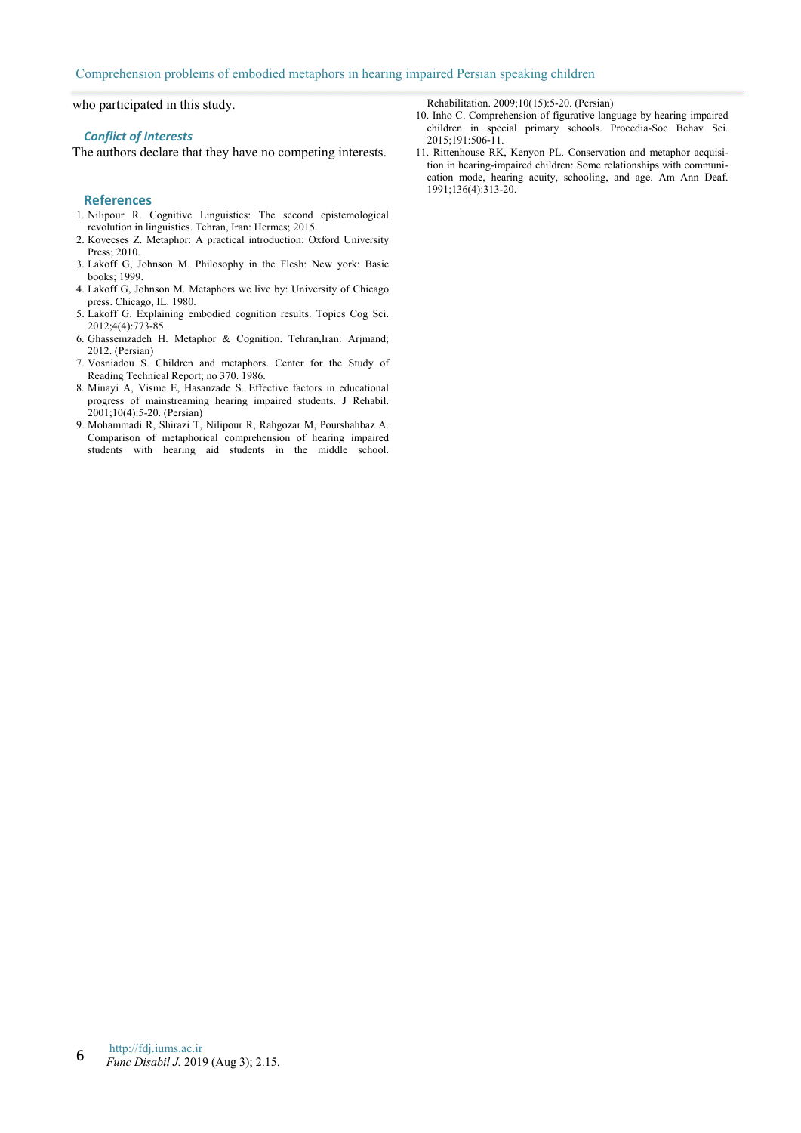who participated in this study.

#### *Conflict of Interests*

The authors declare that they have no competing interests.

## **References**

- 1. Nilipour R. Cognitive Linguistics: The second epistemological revolution in linguistics. Tehran, Iran: Hermes; 2015.
- 2. Kovecses Z. Metaphor: A practical introduction: Oxford University Press; 2010.
- 3. Lakoff G, Johnson M. Philosophy in the Flesh: New york: Basic books; 1999.
- 4. Lakoff G, Johnson M. Metaphors we live by: University of Chicago press. Chicago, IL. 1980.
- 5. Lakoff G. Explaining embodied cognition results. Topics Cog Sci. 2012;4(4):773-85.
- 6. Ghassemzadeh H. Metaphor & Cognition. Tehran,Iran: Arjmand; 2012. (Persian)
- 7. Vosniadou S. Children and metaphors. Center for the Study of Reading Technical Report; no 370. 1986.
- 8. Minayi A, Visme E, Hasanzade S. Effective factors in educational progress of mainstreaming hearing impaired students. J Rehabil. 2001;10(4):5-20. (Persian)
- 9. Mohammadi R, Shirazi T, Nilipour R, Rahgozar M, Pourshahbaz A. Comparison of metaphorical comprehension of hearing impaired students with hearing aid students in the middle school.

Rehabilitation. 2009;10(15):5-20. (Persian)

- 10. Inho C. Comprehension of figurative language by hearing impaired children in special primary schools. Procedia-Soc Behav Sci. 2015;191:506-11.
- 11. Rittenhouse RK, Kenyon PL. Conservation and metaphor acquisition in hearing-impaired children: Some relationships with communication mode, hearing acuity, schooling, and age. Am Ann Deaf. 1991;136(4):313-20.